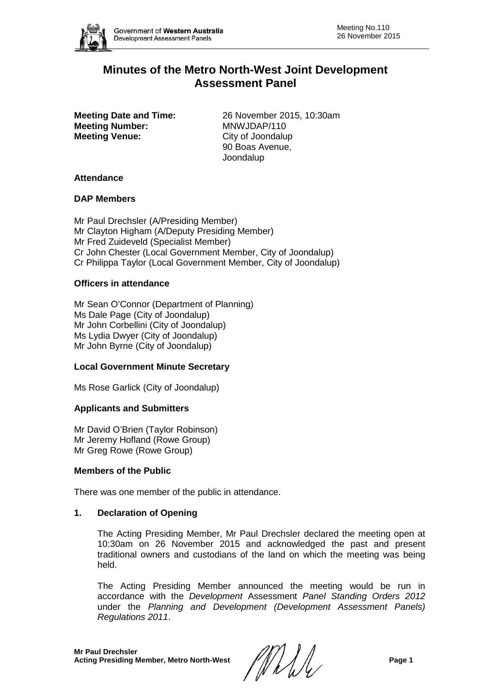

# **Minutes of the Metro North-West Joint Development Assessment Panel**

**Meeting Number:<br>Meeting Venue:** 

**Meeting Date and Time:** 26 November 2015, 10:30am<br> **Meeting Number:** MNWJDAP/110 **City of Joondalup** 90 Boas Avenue, Joondalup

#### **Attendance**

#### **DAP Members**

Mr Paul Drechsler (A/Presiding Member) Mr Clayton Higham (A/Deputy Presiding Member) Mr Fred Zuideveld (Specialist Member) Cr John Chester (Local Government Member, City of Joondalup) Cr Philippa Taylor (Local Government Member, City of Joondalup)

## **Officers in attendance**

Mr Sean O'Connor (Department of Planning) Ms Dale Page (City of Joondalup) Mr John Corbellini (City of Joondalup) Ms Lydia Dwyer (City of Joondalup) Mr John Byrne (City of Joondalup)

## **Local Government Minute Secretary**

Ms Rose Garlick (City of Joondalup)

## **Applicants and Submitters**

Mr David O'Brien (Taylor Robinson) Mr Jeremy Hofland (Rowe Group) Mr Greg Rowe (Rowe Group)

#### **Members of the Public**

There was one member of the public in attendance.

## **1. Declaration of Opening**

The Acting Presiding Member, Mr Paul Drechsler declared the meeting open at 10:30am on 26 November 2015 and acknowledged the past and present traditional owners and custodians of the land on which the meeting was being held.

The Acting Presiding Member announced the meeting would be run in accordance with the *Development* Assessment *Panel Standing Orders 2012* under the *Planning and Development (Development Assessment Panels) Regulations 2011*.

**Mr Paul Drechsler Acting Presiding Member, Metro North-West Page 1**<br>Acting Presiding Member, Metro North-West **Page 1**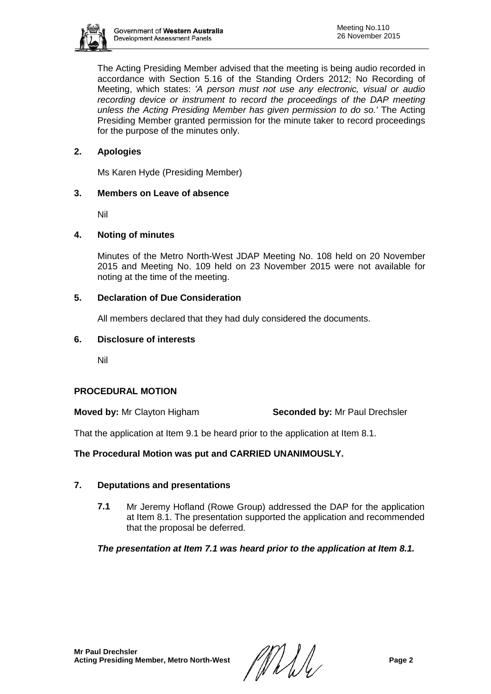

The Acting Presiding Member advised that the meeting is being audio recorded in accordance with Section 5.16 of the Standing Orders 2012; No Recording of Meeting, which states: *'A person must not use any electronic, visual or audio recording device or instrument to record the proceedings of the DAP meeting unless the Acting Presiding Member has given permission to do so.'* The Acting Presiding Member granted permission for the minute taker to record proceedings for the purpose of the minutes only.

# **2. Apologies**

Ms Karen Hyde (Presiding Member)

## **3. Members on Leave of absence**

Nil

#### **4. Noting of minutes**

Minutes of the Metro North-West JDAP Meeting No. 108 held on 20 November 2015 and Meeting No. 109 held on 23 November 2015 were not available for noting at the time of the meeting.

#### **5. Declaration of Due Consideration**

All members declared that they had duly considered the documents.

#### **6. Disclosure of interests**

Nil

## **PROCEDURAL MOTION**

**Moved by: Mr Clayton Higham <b>Seconded by:** Mr Paul Drechsler

That the application at Item 9.1 be heard prior to the application at Item 8.1.

## **The Procedural Motion was put and CARRIED UNANIMOUSLY.**

## **7. Deputations and presentations**

**7.1** Mr Jeremy Hofland (Rowe Group) addressed the DAP for the application at Item 8.1. The presentation supported the application and recommended that the proposal be deferred.

*The presentation at Item 7.1 was heard prior to the application at Item 8.1.*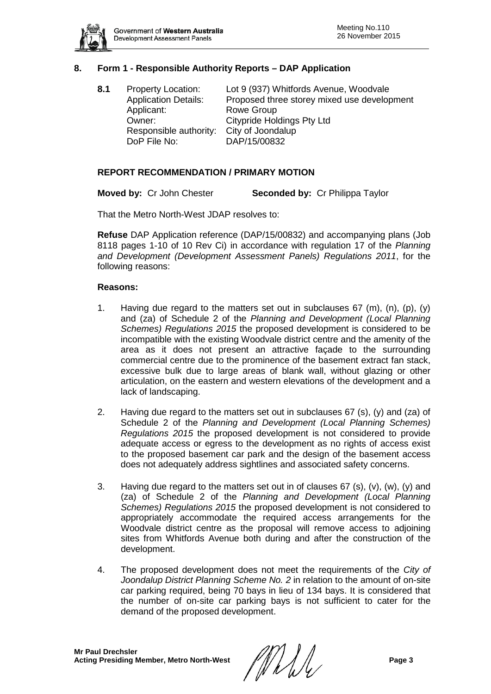

# **8. Form 1 - Responsible Authority Reports – DAP Application**

**8.1** Property Location: Lot 9 (937) Whitfords Avenue, Woodvale Application Details: Proposed three storey mixed use development Applicant: Rowe Group Owner: Citypride Holdings Pty Ltd Responsible authority: City of Joondalup DoP File No: DAP/15/00832

## **REPORT RECOMMENDATION / PRIMARY MOTION**

**Moved by:** Cr John Chester **Seconded by:** Cr Philippa Taylor

That the Metro North-West JDAP resolves to:

**Refuse** DAP Application reference (DAP/15/00832) and accompanying plans (Job 8118 pages 1-10 of 10 Rev Ci) in accordance with regulation 17 of the *Planning and Development (Development Assessment Panels) Regulations 2011*, for the following reasons:

#### **Reasons:**

- 1. Having due regard to the matters set out in subclauses  $67 \, (\text{m})$ ,  $(\text{p})$ ,  $(\text{y})$ and (za) of Schedule 2 of the *Planning and Development (Local Planning Schemes) Regulations 2015* the proposed development is considered to be incompatible with the existing Woodvale district centre and the amenity of the area as it does not present an attractive façade to the surrounding commercial centre due to the prominence of the basement extract fan stack, excessive bulk due to large areas of blank wall, without glazing or other articulation, on the eastern and western elevations of the development and a lack of landscaping.
- 2. Having due regard to the matters set out in subclauses 67 (s), (y) and (za) of Schedule 2 of the *Planning and Development (Local Planning Schemes) Regulations 2015* the proposed development is not considered to provide adequate access or egress to the development as no rights of access exist to the proposed basement car park and the design of the basement access does not adequately address sightlines and associated safety concerns.
- 3. Having due regard to the matters set out in of clauses 67 (s), (v), (w), (y) and (za) of Schedule 2 of the *Planning and Development (Local Planning Schemes) Regulations 2015* the proposed development is not considered to appropriately accommodate the required access arrangements for the Woodvale district centre as the proposal will remove access to adjoining sites from Whitfords Avenue both during and after the construction of the development.
- 4. The proposed development does not meet the requirements of the *City of Joondalup District Planning Scheme No. 2* in relation to the amount of on-site car parking required, being 70 bays in lieu of 134 bays. It is considered that the number of on-site car parking bays is not sufficient to cater for the demand of the proposed development.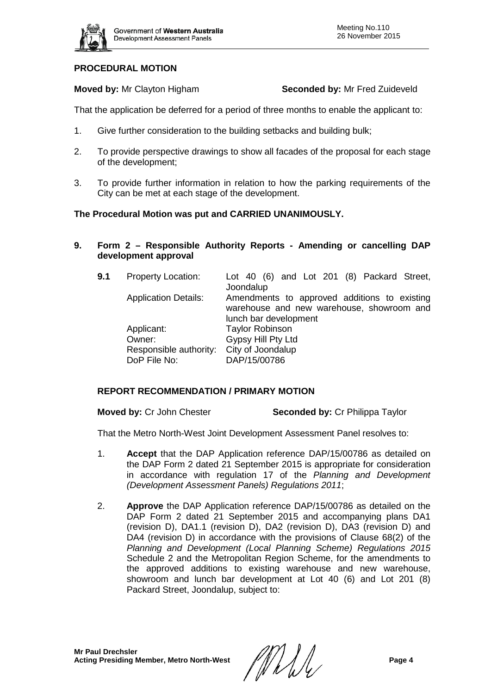

## **PROCEDURAL MOTION**

**Moved by:** Mr Clayton Higham **Seconded by:** Mr Fred Zuideveld

That the application be deferred for a period of three months to enable the applicant to:

- 1. Give further consideration to the building setbacks and building bulk;
- 2. To provide perspective drawings to show all facades of the proposal for each stage of the development;
- 3. To provide further information in relation to how the parking requirements of the City can be met at each stage of the development.

## **The Procedural Motion was put and CARRIED UNANIMOUSLY.**

**9. Form 2 – Responsible Authority Reports - Amending or cancelling DAP development approval**

| 9.1 | <b>Property Location:</b>   | Lot 40 (6) and Lot 201 (8) Packard Street,<br>Joondalup                                   |
|-----|-----------------------------|-------------------------------------------------------------------------------------------|
|     | <b>Application Details:</b> | Amendments to approved additions to existing<br>warehouse and new warehouse, showroom and |
|     |                             | lunch bar development                                                                     |
|     | Applicant:                  | <b>Taylor Robinson</b>                                                                    |
|     | Owner:                      | Gypsy Hill Pty Ltd                                                                        |
|     | Responsible authority:      | City of Joondalup                                                                         |
|     | DoP File No:                | DAP/15/00786                                                                              |

## **REPORT RECOMMENDATION / PRIMARY MOTION**

**Moved by:** Cr John Chester **Seconded by:** Cr Philippa Taylor

That the Metro North-West Joint Development Assessment Panel resolves to:

- 1. **Accept** that the DAP Application reference DAP/15/00786 as detailed on the DAP Form 2 dated 21 September 2015 is appropriate for consideration in accordance with regulation 17 of the *Planning and Development (Development Assessment Panels) Regulations 2011*;
- 2. **Approve** the DAP Application reference DAP/15/00786 as detailed on the DAP Form 2 dated 21 September 2015 and accompanying plans DA1 (revision D), DA1.1 (revision D), DA2 (revision D), DA3 (revision D) and DA4 (revision D) in accordance with the provisions of Clause 68(2) of the *Planning and Development (Local Planning Scheme) Regulations 2015*  Schedule 2 and the Metropolitan Region Scheme, for the amendments to the approved additions to existing warehouse and new warehouse, showroom and lunch bar development at Lot 40 (6) and Lot 201 (8) Packard Street, Joondalup, subject to: